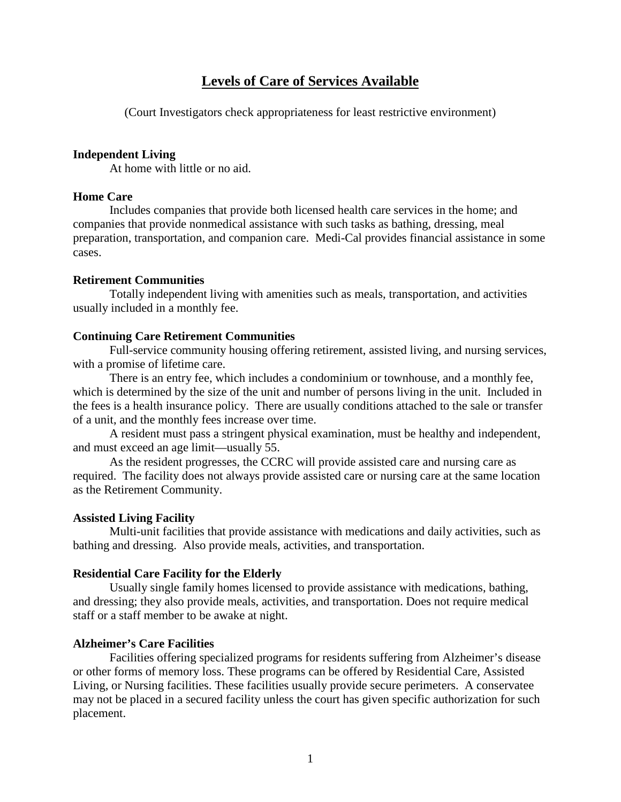# **Levels of Care of Services Available**

(Court Investigators check appropriateness for least restrictive environment)

#### **Independent Living**

At home with little or no aid.

## **Home Care**

Includes companies that provide both licensed health care services in the home; and companies that provide nonmedical assistance with such tasks as bathing, dressing, meal preparation, transportation, and companion care. Medi-Cal provides financial assistance in some cases.

#### **Retirement Communities**

Totally independent living with amenities such as meals, transportation, and activities usually included in a monthly fee.

#### **Continuing Care Retirement Communities**

Full-service community housing offering retirement, assisted living, and nursing services, with a promise of lifetime care.

There is an entry fee, which includes a condominium or townhouse, and a monthly fee, which is determined by the size of the unit and number of persons living in the unit. Included in the fees is a health insurance policy. There are usually conditions attached to the sale or transfer of a unit, and the monthly fees increase over time.

A resident must pass a stringent physical examination, must be healthy and independent, and must exceed an age limit—usually 55.

As the resident progresses, the CCRC will provide assisted care and nursing care as required. The facility does not always provide assisted care or nursing care at the same location as the Retirement Community.

#### **Assisted Living Facility**

Multi-unit facilities that provide assistance with medications and daily activities, such as bathing and dressing. Also provide meals, activities, and transportation.

### **Residential Care Facility for the Elderly**

Usually single family homes licensed to provide assistance with medications, bathing, and dressing; they also provide meals, activities, and transportation. Does not require medical staff or a staff member to be awake at night.

#### **Alzheimer's Care Facilities**

Facilities offering specialized programs for residents suffering from Alzheimer's disease or other forms of memory loss. These programs can be offered by Residential Care, Assisted Living, or Nursing facilities. These facilities usually provide secure perimeters. A conservatee may not be placed in a secured facility unless the court has given specific authorization for such placement.